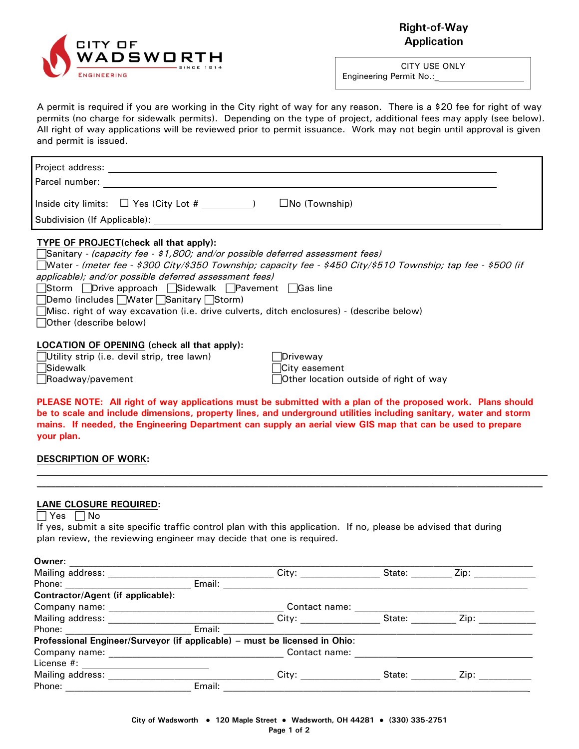

**Right-of-Way Application**

CITY USE ONLY Engineering Permit No.:\_

A permit is required if you are working in the City right of way for any reason. There is a \$20 fee for right of way permits (no charge for sidewalk permits). Depending on the type of project, additional fees may apply (see below). All right of way applications will be reviewed prior to permit issuance. Work may not begin until approval is given and permit is issued.

| Project address:<br>Parcel number:                                 |  |  |  |  |
|--------------------------------------------------------------------|--|--|--|--|
| Inside city limits: $\Box$ Yes (City Lot #<br>$\Box$ No (Township) |  |  |  |  |
| Subdivision (If Applicable):                                       |  |  |  |  |

## **TYPE OF PROJECT(check all that apply):**

| <b>Sanitary</b> - (capacity fee - \$1,800; and/or possible deferred assessment fees)                          |
|---------------------------------------------------------------------------------------------------------------|
| Nater - (meter fee - \$300 City/\$350 Township; capacity fee - \$450 City/\$510 Township; tap fee - \$500 (if |
| applicable); and/or possible deferred assessment fees)                                                        |
| □Storm □Drive approach □Sidewalk □Pavement □Gas line                                                          |
| □Demo (includes Water Sanitary Storm)                                                                         |
| [Misc. right of way excavation (i.e. drive culverts, ditch enclosures) - (describe below)                     |
| Other (describe below)                                                                                        |
|                                                                                                               |
| <b>LOCATION OF OPENING (check all that apply):</b>                                                            |

# **LOCATION OF OPENING (check all that apply):**

| Utility strip (i.e. devil strip, tre |  |  |
|--------------------------------------|--|--|
| <b>Sidewalk</b>                      |  |  |
| Roadway/pavement                     |  |  |

 $\blacksquare$ e lawn) Driveway  $\Box$ City easement  $\Box$  Other location outside of right of way

**PLEASE NOTE: All right of way applications must be submitted with a plan of the proposed work. Plans should be to scale and include dimensions, property lines, and underground utilities including sanitary, water and storm mains. If needed, the Engineering Department can supply an aerial view GIS map that can be used to prepare your plan.**

## **DESCRIPTION OF WORK:**

#### **LANE CLOSURE REQUIRED:**

 $\Box$  Yes  $\Box$  No

If yes, submit a site specific traffic control plan with this application. If no, please be advised that during plan review, the reviewing engineer may decide that one is required.

| Owner:                                                                     |        |               |        |      |  |
|----------------------------------------------------------------------------|--------|---------------|--------|------|--|
| Mailing address:                                                           |        | City:         | State: | Zip: |  |
| Phone:                                                                     | Email: |               |        |      |  |
| Contractor/Agent (if applicable):                                          |        |               |        |      |  |
| Company name:                                                              |        | Contact name: |        |      |  |
| Mailing address:                                                           |        | City:         | State: | Zip: |  |
| Phone:                                                                     | Email: |               |        |      |  |
| Professional Engineer/Surveyor (if applicable) - must be licensed in Ohio: |        |               |        |      |  |
| Company name:                                                              |        | Contact name: |        |      |  |
| License #:                                                                 |        |               |        |      |  |
| Mailing address:                                                           |        | City:         | State: | Zip: |  |
| Phone:                                                                     | Email: |               |        |      |  |